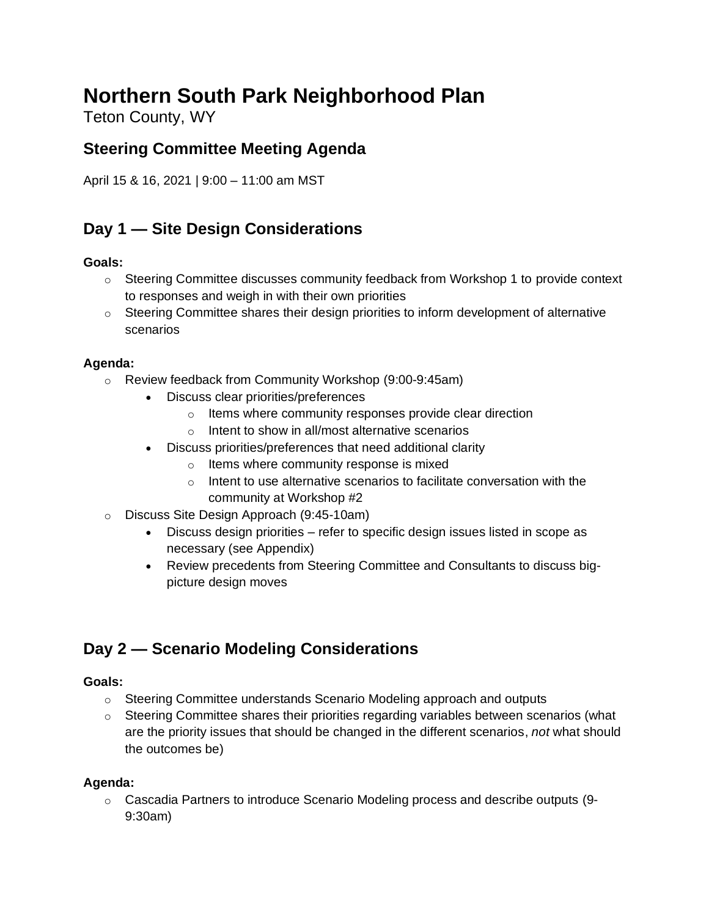# **Northern South Park Neighborhood Plan**

Teton County, WY

### **Steering Committee Meeting Agenda**

April 15 & 16, 2021 | 9:00 – 11:00 am MST

### **Day 1 — Site Design Considerations**

#### **Goals:**

- $\circ$  Steering Committee discusses community feedback from Workshop 1 to provide context to responses and weigh in with their own priorities
- $\circ$  Steering Committee shares their design priorities to inform development of alternative scenarios

#### **Agenda:**

- o Review feedback from Community Workshop (9:00-9:45am)
	- Discuss clear priorities/preferences
		- o Items where community responses provide clear direction
		- o Intent to show in all/most alternative scenarios
	- Discuss priorities/preferences that need additional clarity
		- o Items where community response is mixed
		- o Intent to use alternative scenarios to facilitate conversation with the community at Workshop #2
- o Discuss Site Design Approach (9:45-10am)
	- Discuss design priorities refer to specific design issues listed in scope as necessary (see Appendix)
	- Review precedents from Steering Committee and Consultants to discuss bigpicture design moves

## **Day 2 — Scenario Modeling Considerations**

#### **Goals:**

- $\circ$  Steering Committee understands Scenario Modeling approach and outputs
- $\circ$  Steering Committee shares their priorities regarding variables between scenarios (what are the priority issues that should be changed in the different scenarios, *not* what should the outcomes be)

#### **Agenda:**

 $\circ$  Cascadia Partners to introduce Scenario Modeling process and describe outputs (9-9:30am)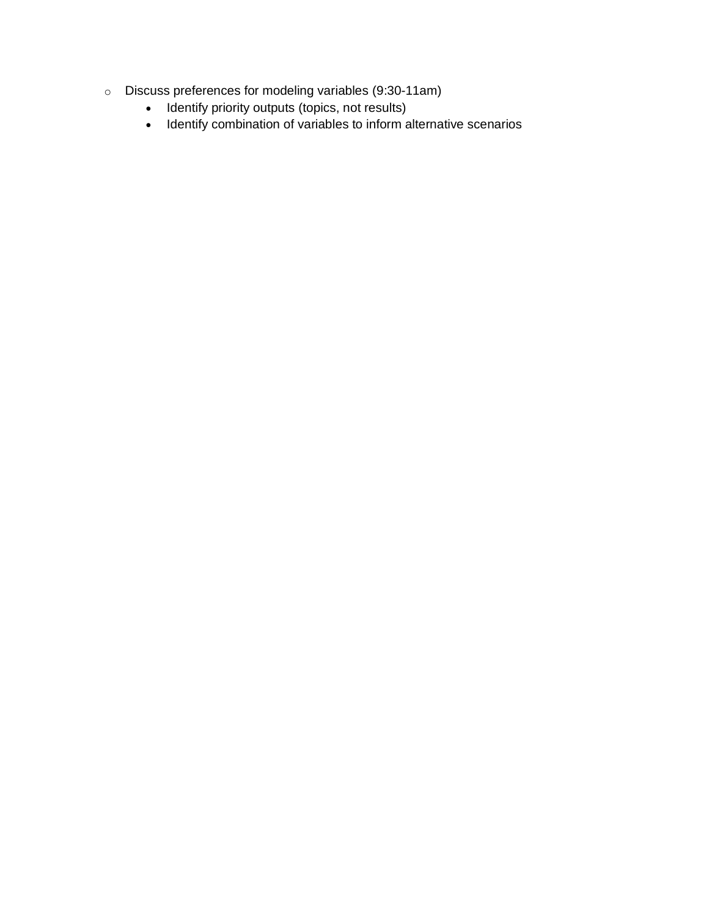- o Discuss preferences for modeling variables (9:30-11am)
	- Identify priority outputs (topics, not results)
	- Identify combination of variables to inform alternative scenarios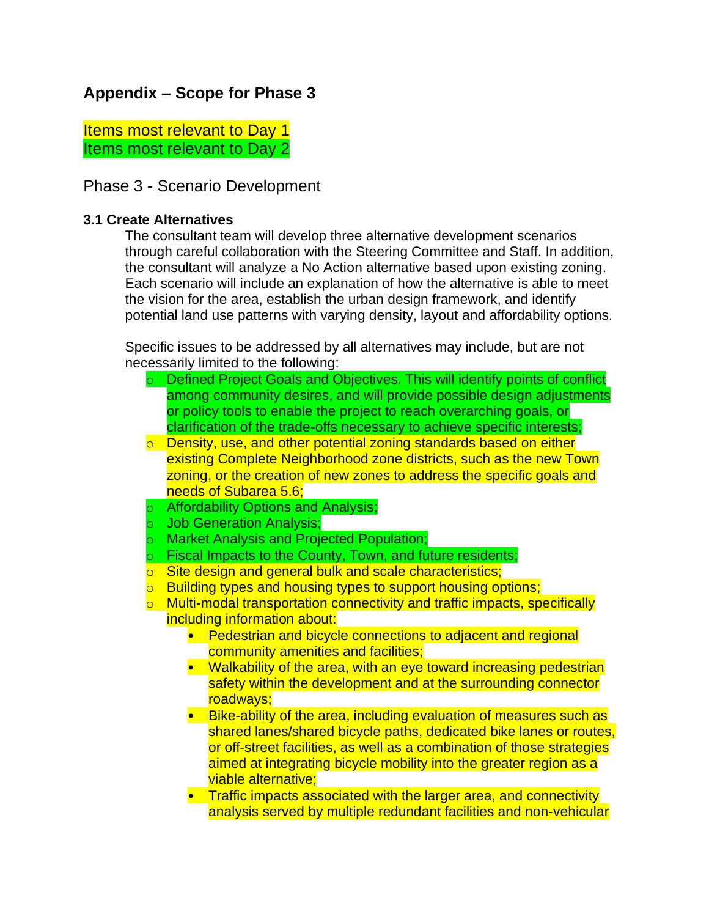### **Appendix – Scope for Phase 3**

Items most relevant to Day 1 Items most relevant to Day 2

Phase 3 - Scenario Development

#### **3.1 Create Alternatives**

The consultant team will develop three alternative development scenarios through careful collaboration with the Steering Committee and Staff. In addition, the consultant will analyze a No Action alternative based upon existing zoning. Each scenario will include an explanation of how the alternative is able to meet the vision for the area, establish the urban design framework, and identify potential land use patterns with varying density, layout and affordability options.

Specific issues to be addressed by all alternatives may include, but are not necessarily limited to the following:

- o Defined Project Goals and Objectives. This will identify points of conflict among community desires, and will provide possible design adjustments or policy tools to enable the project to reach overarching goals, or clarification of the trade-offs necessary to achieve specific interests;
- o Density, use, and other potential zoning standards based on either existing Complete Neighborhood zone districts, such as the new Town zoning, or the creation of new zones to address the specific goals and needs of Subarea 5.6;
- o Affordability Options and Analysis;
- o Job Generation Analysis;
- o Market Analysis and Projected Population;
- o Fiscal Impacts to the County, Town, and future residents;
- o Site design and general bulk and scale characteristics;
- **b** Building types and housing types to support housing options;
- o Multi-modal transportation connectivity and traffic impacts, specifically including information about:
	- Pedestrian and bicycle connections to adjacent and regional community amenities and facilities;
	- Walkability of the area, with an eye toward increasing pedestrian safety within the development and at the surrounding connector roadways;
	- Bike-ability of the area, including evaluation of measures such as shared lanes/shared bicycle paths, dedicated bike lanes or routes, or off-street facilities, as well as a combination of those strategies aimed at integrating bicycle mobility into the greater region as a viable alternative;
	- Traffic impacts associated with the larger area, and connectivity analysis served by multiple redundant facilities and non‐vehicular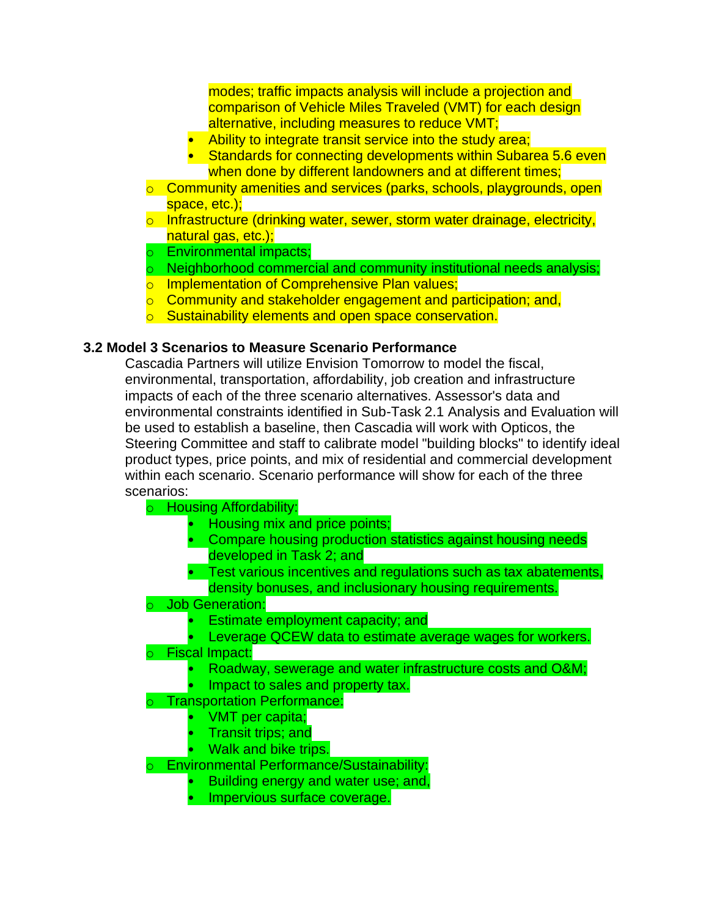modes; traffic impacts analysis will include a projection and comparison of Vehicle Miles Traveled (VMT) for each design alternative, including measures to reduce VMT;

- Ability to integrate transit service into the study area;
- $\cdot$  Standards for connecting developments within Subarea 5.6 even when done by different landowners and at different times;
- o Community amenities and services (parks, schools, playgrounds, open space, etc.);
- o Infrastructure (drinking water, sewer, storm water drainage, electricity, natural gas, etc.);
- o Environmental impacts;
- $\circ$  Neighborhood commercial and community institutional needs analysis;
- o Implementation of Comprehensive Plan values;
- o Community and stakeholder engagement and participation; and,
- o Sustainability elements and open space conservation.

#### **3.2 Model 3 Scenarios to Measure Scenario Performance**

Cascadia Partners will utilize Envision Tomorrow to model the fiscal, environmental, transportation, affordability, job creation and infrastructure impacts of each of the three scenario alternatives. Assessor's data and environmental constraints identified in Sub-Task 2.1 Analysis and Evaluation will be used to establish a baseline, then Cascadia will work with Opticos, the Steering Committee and staff to calibrate model "building blocks" to identify ideal product types, price points, and mix of residential and commercial development within each scenario. Scenario performance will show for each of the three scenarios:

- o Housing Affordability:
	- Housing mix and price points;
	- Compare housing production statistics against housing needs developed in Task 2; and
	- Test various incentives and regulations such as tax abatements, density bonuses, and inclusionary housing requirements.
- o Job Generation:
	- Estimate employment capacity; and
	- Leverage QCEW data to estimate average wages for workers.
- o Fiscal Impact:
	- Roadway, sewerage and water infrastructure costs and O&M;
	- Impact to sales and property tax.
- o Transportation Performance:
	- VMT per capita;
	- Transit trips; and
	- Walk and bike trips.

Environmental Performance/Sustainability:

- Building energy and water use; and,
- Impervious surface coverage.